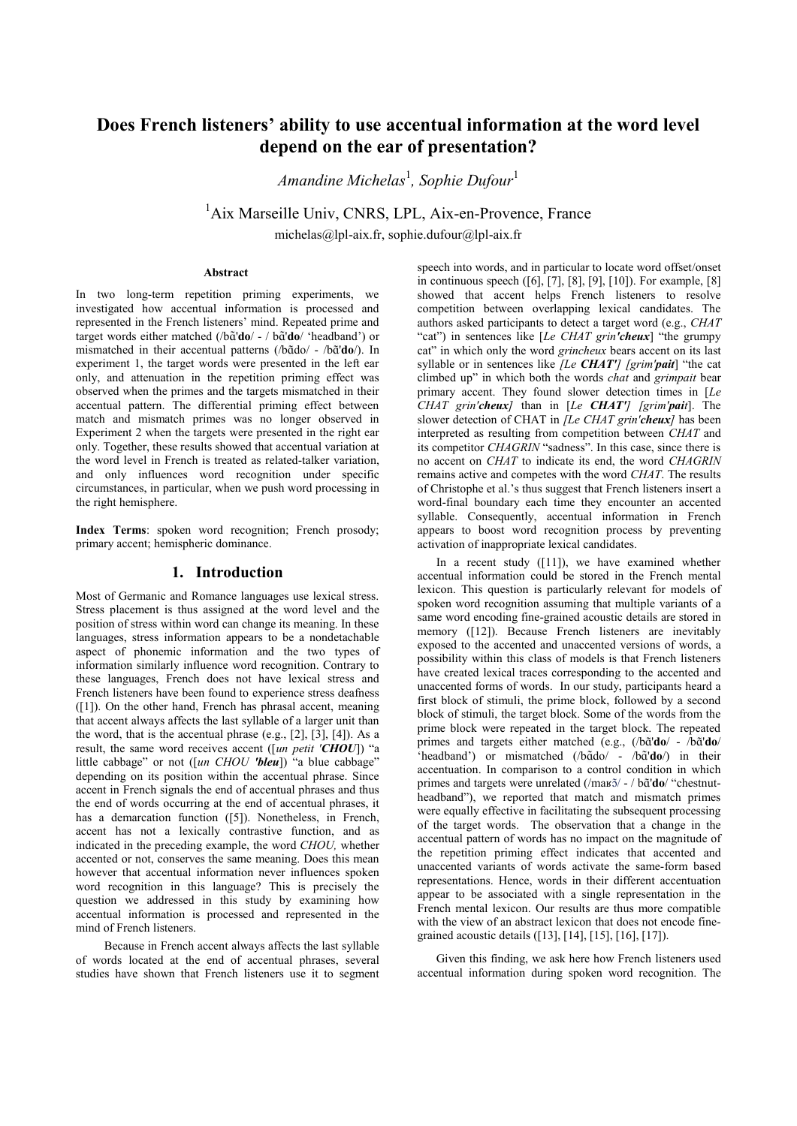# **Does French listeners' ability to use accentual information at the word level depend on the ear of presentation?**

*Amandine Michelas*<sup>1</sup> *, Sophie Dufour*<sup>1</sup>

<sup>1</sup>Aix Marseille Univ, CNRS, LPL, Aix-en-Provence, France michelas@lpl-aix.fr, sophie.dufour@lpl-aix.fr

**Abstract**

In two long-term repetition priming experiments, we investigated how accentual information is processed and represented in the French listeners' mind. Repeated prime and targetwords either matched (/b $\tilde{a}'$ **do**/ - / b $\tilde{a}'$ **do**/ 'headband') or mismatchedin their accentual patterns (/bɑ̃do/ - /bɑ̃'do/). In experiment 1, the target words were presented in the left ear only, and attenuation in the repetition priming effect was observed when the primes and the targets mismatched in their accentual pattern. The differential priming effect between match and mismatch primes was no longer observed in Experiment 2 when the targets were presented in the right ear only. Together, these results showed that accentual variation at the word level in French is treated as related-talker variation, and only influences word recognition under specific circumstances, in particular, when we push word processing in the right hemisphere.

**Index Terms**: spoken word recognition; French prosody; primary accent; hemispheric dominance.

# **1. Introduction**

Most of Germanic and Romance languages use lexical stress. Stress placement is thus assigned at the word level and the position of stress within word can change its meaning. In these languages, stress information appears to be a nondetachable aspect of phonemic information and the two types of information similarly influence word recognition. Contrary to these languages, French does not have lexical stress and French listeners have been found to experience stress deafness ([1]). On the other hand, French has phrasal accent, meaning that accent always affects the last syllable of a larger unit than the word, that is the accentual phrase  $(e.g., [2], [3], [4])$ . As a result, the same word receives accent ([*un petit 'CHOU*]) "a little cabbage" or not ([*un CHOU 'bleu*]) "a blue cabbage" depending on its position within the accentual phrase. Since accent in French signals the end of accentual phrases and thus the end of words occurring at the end of accentual phrases, it has a demarcation function ([5]). Nonetheless, in French, accent has not a lexically contrastive function, and as indicated in the preceding example, the word *CHOU,* whether accented or not, conserves the same meaning. Does this mean however that accentual information never influences spoken word recognition in this language? This is precisely the question we addressed in this study by examining how accentual information is processed and represented in the mind of French listeners.

Because in French accent always affects the last syllable of words located at the end of accentual phrases, several studies have shown that French listeners use it to segment speech into words, and in particular to locate word offset/onset in continuous speech ([6], [7], [8], [9], [10]). For example, [8] showed that accent helps French listeners to resolve competition between overlapping lexical candidates. The authors asked participants to detect a target word (e.g., *CHAT*  "cat") in sentences like [*Le CHAT grin'cheux*] "the grumpy cat" in which only the word *grincheux* bears accent on its last syllable or in sentences like *[Le CHAT'] [grim'pait*] "the cat climbed up" in which both the words *chat* and *grimpait* bear primary accent. They found slower detection times in [*Le CHAT grin'cheux]* than in [*Le CHAT'] [grim'pait*]. The slower detection of CHAT in *[Le CHAT grin'cheux]* has been interpreted as resulting from competition between *CHAT* and its competitor *CHAGRIN* "sadness". In this case, since there is no accent on *CHAT* to indicate its end, the word *CHAGRIN*  remains active and competes with the word *CHAT*. The results of Christophe et al.'s thus suggest that French listeners insert a word-final boundary each time they encounter an accented syllable. Consequently, accentual information in French appears to boost word recognition process by preventing activation of inappropriate lexical candidates.

In a recent study ([11]), we have examined whether accentual information could be stored in the French mental lexicon. This question is particularly relevant for models of spoken word recognition assuming that multiple variants of a same word encoding fine-grained acoustic details are stored in memory ([12]). Because French listeners are inevitably exposed to the accented and unaccented versions of words, a possibility within this class of models is that French listeners have created lexical traces corresponding to the accented and unaccented forms of words. In our study, participants heard a first block of stimuli, the prime block, followed by a second block of stimuli, the target block. Some of the words from the prime block were repeated in the target block. The repeated primesand targets either matched (e.g., (/bã'do/ - /bã'do/ 'headband')or mismatched (/bɑ̃do/ - /bɑ̃'do/) in their accentuation. In comparison to a control condition in which primesand targets were unrelated (/ma $\frac{\pi}{4}$ /  $\frac{\pi}{4}$ do/ "chestnutheadband"), we reported that match and mismatch primes were equally effective in facilitating the subsequent processing of the target words. The observation that a change in the accentual pattern of words has no impact on the magnitude of the repetition priming effect indicates that accented and unaccented variants of words activate the same-form based representations. Hence, words in their different accentuation appear to be associated with a single representation in the French mental lexicon. Our results are thus more compatible with the view of an abstract lexicon that does not encode finegrained acoustic details ([13], [14], [15], [16], [17]).

Given this finding, we ask here how French listeners used accentual information during spoken word recognition. The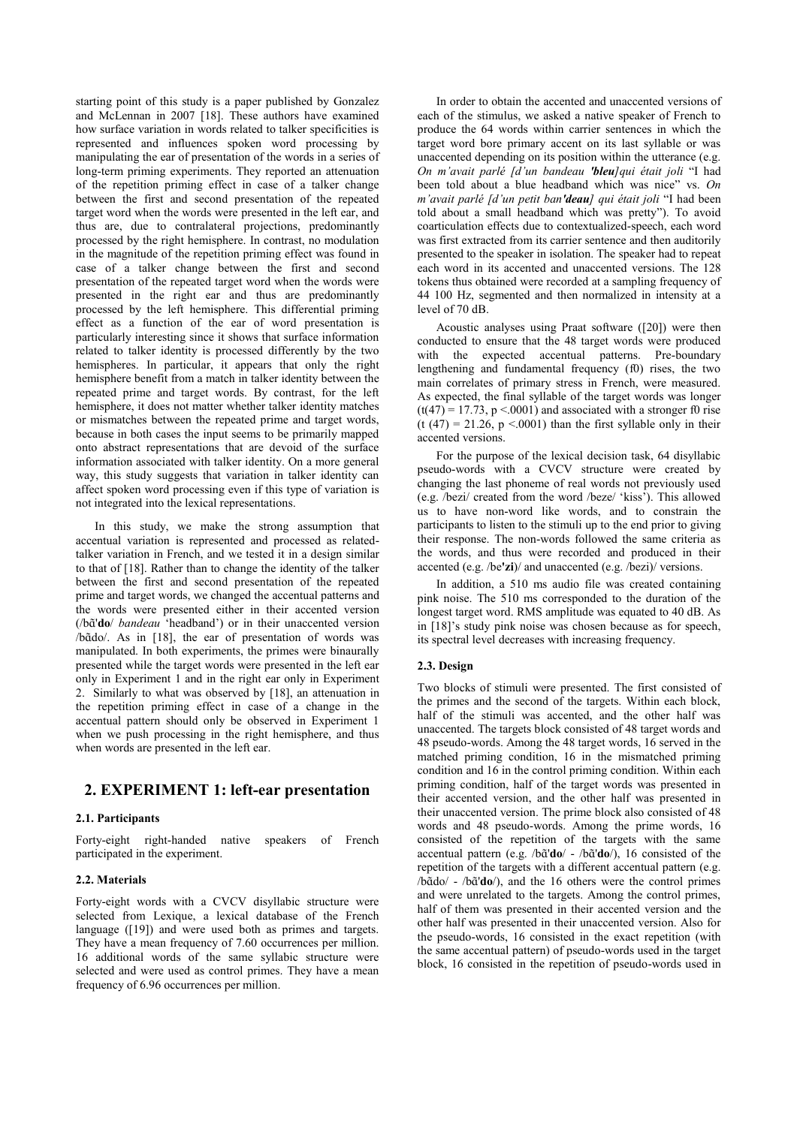starting point of this study is a paper published by Gonzalez and McLennan in 2007 [18]. These authors have examined how surface variation in words related to talker specificities is represented and influences spoken word processing by manipulating the ear of presentation of the words in a series of long-term priming experiments. They reported an attenuation of the repetition priming effect in case of a talker change between the first and second presentation of the repeated target word when the words were presented in the left ear, and thus are, due to contralateral projections, predominantly processed by the right hemisphere. In contrast, no modulation in the magnitude of the repetition priming effect was found in case of a talker change between the first and second presentation of the repeated target word when the words were presented in the right ear and thus are predominantly processed by the left hemisphere. This differential priming effect as a function of the ear of word presentation is particularly interesting since it shows that surface information related to talker identity is processed differently by the two hemispheres. In particular, it appears that only the right hemisphere benefit from a match in talker identity between the repeated prime and target words. By contrast, for the left hemisphere, it does not matter whether talker identity matches or mismatches between the repeated prime and target words, because in both cases the input seems to be primarily mapped onto abstract representations that are devoid of the surface information associated with talker identity. On a more general way, this study suggests that variation in talker identity can affect spoken word processing even if this type of variation is not integrated into the lexical representations.

In this study, we make the strong assumption that accentual variation is represented and processed as relatedtalker variation in French, and we tested it in a design similar to that of [18]. Rather than to change the identity of the talker between the first and second presentation of the repeated prime and target words, we changed the accentual patterns and the words were presented either in their accented version (/b '**do**/ *bandeau* 'headband') or in their unaccented version /bado/.As in [18], the ear of presentation of words was manipulated. In both experiments, the primes were binaurally presented while the target words were presented in the left ear only in Experiment 1 and in the right ear only in Experiment 2. Similarly to what was observed by [18], an attenuation in the repetition priming effect in case of a change in the accentual pattern should only be observed in Experiment 1 when we push processing in the right hemisphere, and thus when words are presented in the left ear.

# **2. EXPERIMENT 1: left-ear presentation**

# **2.1. Participants**

Forty-eight right-handed native speakers of French participated in the experiment.

#### **2.2. Materials**

Forty-eight words with a CVCV disyllabic structure were selected from Lexique, a lexical database of the French language ([19]) and were used both as primes and targets. They have a mean frequency of 7.60 occurrences per million. 16 additional words of the same syllabic structure were selected and were used as control primes. They have a mean frequency of 6.96 occurrences per million.

In order to obtain the accented and unaccented versions of each of the stimulus, we asked a native speaker of French to produce the 64 words within carrier sentences in which the target word bore primary accent on its last syllable or was unaccented depending on its position within the utterance (e.g. *On m'avait parlé [d'un bandeau 'bleu]qui était joli* "I had been told about a blue headband which was nice" vs. *On m'avait parlé [d'un petit ban'deau] qui était joli* "I had been told about a small headband which was pretty"). To avoid coarticulation effects due to contextualized-speech, each word was first extracted from its carrier sentence and then auditorily presented to the speaker in isolation. The speaker had to repeat each word in its accented and unaccented versions. The 128 tokens thus obtained were recorded at a sampling frequency of 44 100 Hz, segmented and then normalized in intensity at a level of 70 dB.

Acoustic analyses using Praat software ([20]) were then conducted to ensure that the 48 target words were produced with the expected accentual patterns. Pre-boundary lengthening and fundamental frequency (f0) rises, the two main correlates of primary stress in French, were measured. As expected, the final syllable of the target words was longer  $(t(47) = 17.73, p < 0.001)$  and associated with a stronger f0 rise  $(t (47) = 21.26, p < .0001)$  than the first syllable only in their accented versions.

For the purpose of the lexical decision task, 64 disyllabic pseudo-words with a CVCV structure were created by changing the last phoneme of real words not previously used (e.g. /bezi/ created from the word /beze/ 'kiss'). This allowed us to have non-word like words, and to constrain the participants to listen to the stimuli up to the end prior to giving their response. The non-words followed the same criteria as the words, and thus were recorded and produced in their accented (e.g. /be**'zi**)/ and unaccented (e.g. /bezi)/ versions.

In addition, a 510 ms audio file was created containing pink noise. The 510 ms corresponded to the duration of the longest target word. RMS amplitude was equated to 40 dB. As in [18]'s study pink noise was chosen because as for speech, its spectral level decreases with increasing frequency.

# **2.3. Design**

Two blocks of stimuli were presented. The first consisted of the primes and the second of the targets. Within each block, half of the stimuli was accented, and the other half was unaccented. The targets block consisted of 48 target words and 48 pseudo-words. Among the 48 target words, 16 served in the matched priming condition, 16 in the mismatched priming condition and 16 in the control priming condition. Within each priming condition, half of the target words was presented in their accented version, and the other half was presented in their unaccented version. The prime block also consisted of 48 words and 48 pseudo-words. Among the prime words, 16 consisted of the repetition of the targets with the same accentualpattern (e.g. /bã'do/ - /bã'do/), 16 consisted of the repetition of the targets with a different accentual pattern (e.g. /b $\tilde{a}$ do/- /b $\tilde{a}'$ do/), and the 16 others were the control primes and were unrelated to the targets. Among the control primes, half of them was presented in their accented version and the other half was presented in their unaccented version. Also for the pseudo-words, 16 consisted in the exact repetition (with the same accentual pattern) of pseudo-words used in the target block, 16 consisted in the repetition of pseudo-words used in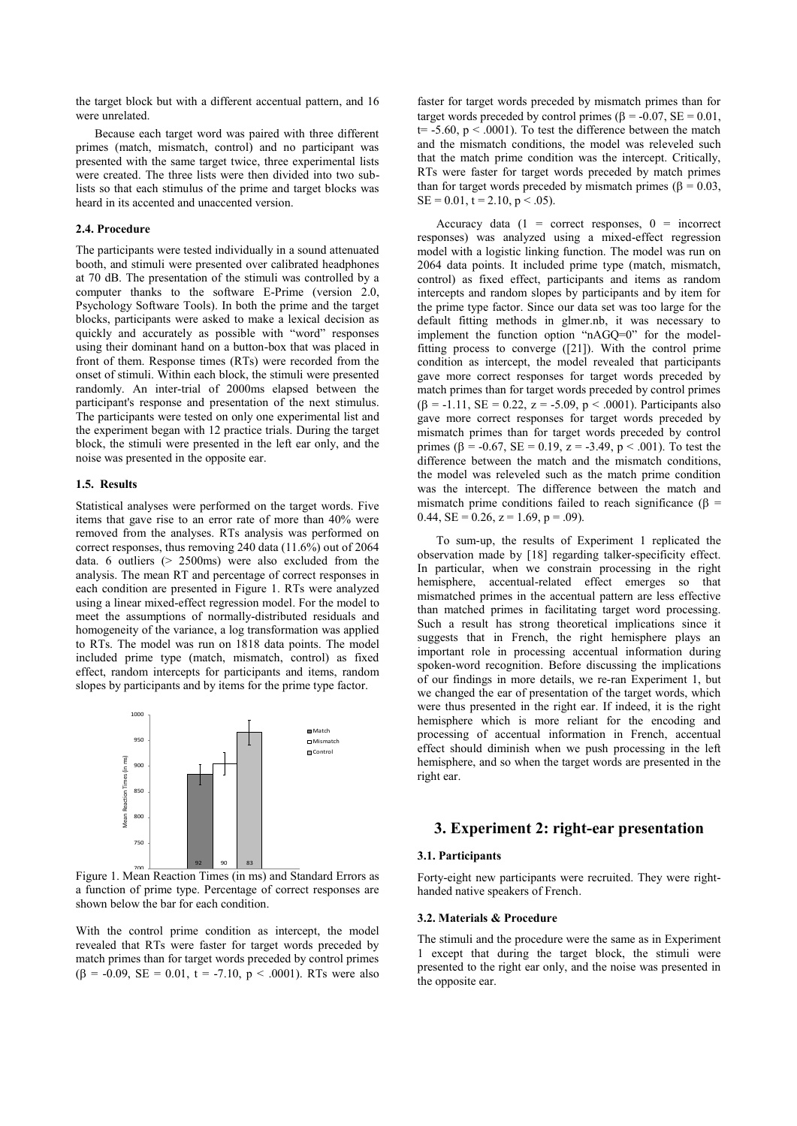the target block but with a different accentual pattern, and 16 were unrelated.

Because each target word was paired with three different primes (match, mismatch, control) and no participant was presented with the same target twice, three experimental lists were created. The three lists were then divided into two sublists so that each stimulus of the prime and target blocks was heard in its accented and unaccented version.

### **2.4. Procedure**

The participants were tested individually in a sound attenuated booth, and stimuli were presented over calibrated headphones at 70 dB. The presentation of the stimuli was controlled by a computer thanks to the software E-Prime (version 2.0, Psychology Software Tools). In both the prime and the target blocks, participants were asked to make a lexical decision as quickly and accurately as possible with "word" responses using their dominant hand on a button-box that was placed in front of them. Response times (RTs) were recorded from the onset of stimuli. Within each block, the stimuli were presented randomly. An inter-trial of 2000ms elapsed between the participant's response and presentation of the next stimulus. The participants were tested on only one experimental list and the experiment began with 12 practice trials. During the target block, the stimuli were presented in the left ear only, and the noise was presented in the opposite ear.

#### **1.5. Results**

Statistical analyses were performed on the target words. Five items that gave rise to an error rate of more than 40% were removed from the analyses. RTs analysis was performed on correct responses, thus removing 240 data (11.6%) out of 2064 data. 6 outliers (> 2500ms) were also excluded from the analysis. The mean RT and percentage of correct responses in each condition are presented in Figure 1. RTs were analyzed using a linear mixed-effect regression model. For the model to meet the assumptions of normally-distributed residuals and homogeneity of the variance, a log transformation was applied to RTs. The model was run on 1818 data points. The model included prime type (match, mismatch, control) as fixed effect, random intercepts for participants and items, random slopes by participants and by items for the prime type factor.



Figure 1. Mean Reaction Times (in ms) and Standard Errors as a function of prime type. Percentage of correct responses are shown below the bar for each condition.

With the control prime condition as intercept, the model revealed that RTs were faster for target words preceded by match primes than for target words preceded by control primes  $(\beta = -0.09, \text{ SE} = 0.01, t = -7.10, p < .0001)$ . RTs were also

faster for target words preceded by mismatch primes than for target words preceded by control primes ( $\beta$  = -0.07, SE = 0.01,  $t=$  -5.60,  $p < .0001$ ). To test the difference between the match and the mismatch conditions, the model was releveled such that the match prime condition was the intercept. Critically, RTs were faster for target words preceded by match primes than for target words preceded by mismatch primes ( $\beta = 0.03$ ,  $SE = 0.01$ ,  $t = 2.10$ ,  $p < .05$ ).

Accuracy data  $(1 = \text{correct responses}, 0 = \text{incorrect})$ responses) was analyzed using a mixed-effect regression model with a logistic linking function. The model was run on 2064 data points. It included prime type (match, mismatch, control) as fixed effect, participants and items as random intercepts and random slopes by participants and by item for the prime type factor. Since our data set was too large for the default fitting methods in glmer.nb, it was necessary to implement the function option "nAGQ=0" for the modelfitting process to converge ([21]). With the control prime condition as intercept, the model revealed that participants gave more correct responses for target words preceded by match primes than for target words preceded by control primes  $(\beta = -1.11, SE = 0.22, z = -5.09, p < .0001)$ . Participants also gave more correct responses for target words preceded by mismatch primes than for target words preceded by control primes ( $\beta$  = -0.67, SE = 0.19, z = -3.49, p < .001). To test the difference between the match and the mismatch conditions, the model was releveled such as the match prime condition was the intercept. The difference between the match and mismatch prime conditions failed to reach significance ( $\beta$  = 0.44,  $SE = 0.26$ ,  $z = 1.69$ ,  $p = .09$ ).

To sum-up, the results of Experiment 1 replicated the observation made by [18] regarding talker-specificity effect. In particular, when we constrain processing in the right hemisphere, accentual-related effect emerges so that mismatched primes in the accentual pattern are less effective than matched primes in facilitating target word processing. Such a result has strong theoretical implications since it suggests that in French, the right hemisphere plays an important role in processing accentual information during spoken-word recognition. Before discussing the implications of our findings in more details, we re-ran Experiment 1, but we changed the ear of presentation of the target words, which were thus presented in the right ear. If indeed, it is the right hemisphere which is more reliant for the encoding and processing of accentual information in French, accentual effect should diminish when we push processing in the left hemisphere, and so when the target words are presented in the right ear.

# **3. Experiment 2: right-ear presentation**

# **3.1. Participants**

Forty-eight new participants were recruited. They were righthanded native speakers of French.

#### **3.2. Materials & Procedure**

The stimuli and the procedure were the same as in Experiment 1 except that during the target block, the stimuli were presented to the right ear only, and the noise was presented in the opposite ear.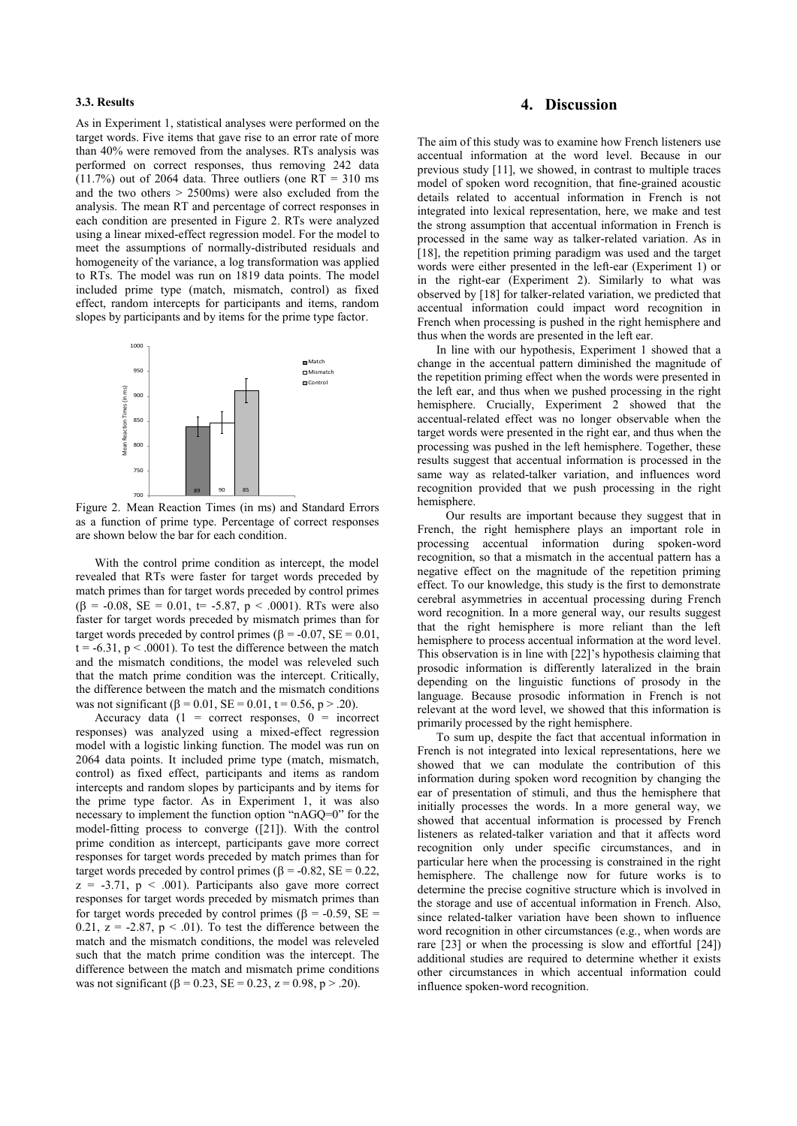### **3.3. Results**

As in Experiment 1, statistical analyses were performed on the target words. Five items that gave rise to an error rate of more than 40% were removed from the analyses. RTs analysis was performed on correct responses, thus removing 242 data  $(11.7%)$  out of 2064 data. Three outliers (one RT = 310 ms) and the two others  $> 2500$ ms) were also excluded from the analysis. The mean RT and percentage of correct responses in each condition are presented in Figure 2. RTs were analyzed using a linear mixed-effect regression model. For the model to meet the assumptions of normally-distributed residuals and homogeneity of the variance, a log transformation was applied to RTs. The model was run on 1819 data points. The model included prime type (match, mismatch, control) as fixed effect, random intercepts for participants and items, random slopes by participants and by items for the prime type factor.



Figure 2. Mean Reaction Times (in ms) and Standard Errors as a function of prime type. Percentage of correct responses are shown below the bar for each condition.

With the control prime condition as intercept, the model revealed that RTs were faster for target words preceded by match primes than for target words preceded by control primes  $(\beta = -0.08, SE = 0.01, t = -5.87, p < .0001)$ . RTs were also faster for target words preceded by mismatch primes than for target words preceded by control primes ( $\beta$  = -0.07, SE = 0.01,  $t = -6.31$ ,  $p < .0001$ ). To test the difference between the match and the mismatch conditions, the model was releveled such that the match prime condition was the intercept. Critically, the difference between the match and the mismatch conditions was not significant ( $\beta$  = 0.01, SE = 0.01, t = 0.56, p > .20).

Accuracy data  $(1 =$  correct responses,  $0 =$  incorrect responses) was analyzed using a mixed-effect regression model with a logistic linking function. The model was run on 2064 data points. It included prime type (match, mismatch, control) as fixed effect, participants and items as random intercepts and random slopes by participants and by items for the prime type factor. As in Experiment 1, it was also necessary to implement the function option "nAGQ=0" for the model-fitting process to converge ([21]). With the control prime condition as intercept, participants gave more correct responses for target words preceded by match primes than for target words preceded by control primes ( $\beta$  = -0.82, SE = 0.22,  $z = -3.71$ ,  $p < .001$ ). Participants also gave more correct responses for target words preceded by mismatch primes than for target words preceded by control primes ( $\beta$  = -0.59, SE = 0.21,  $z = -2.87$ ,  $p < .01$ ). To test the difference between the match and the mismatch conditions, the model was releveled such that the match prime condition was the intercept. The difference between the match and mismatch prime conditions was not significant ( $\beta = 0.23$ ,  $SE = 0.23$ ,  $z = 0.98$ ,  $p > .20$ ).

# **4. Discussion**

The aim of this study was to examine how French listeners use accentual information at the word level. Because in our previous study [11], we showed, in contrast to multiple traces model of spoken word recognition, that fine-grained acoustic details related to accentual information in French is not integrated into lexical representation, here, we make and test the strong assumption that accentual information in French is processed in the same way as talker-related variation. As in [18], the repetition priming paradigm was used and the target words were either presented in the left-ear (Experiment 1) or in the right-ear (Experiment 2). Similarly to what was observed by [18] for talker-related variation, we predicted that accentual information could impact word recognition in French when processing is pushed in the right hemisphere and thus when the words are presented in the left ear.

In line with our hypothesis, Experiment 1 showed that a change in the accentual pattern diminished the magnitude of the repetition priming effect when the words were presented in the left ear, and thus when we pushed processing in the right hemisphere. Crucially, Experiment 2 showed that the accentual-related effect was no longer observable when the target words were presented in the right ear, and thus when the processing was pushed in the left hemisphere. Together, these results suggest that accentual information is processed in the same way as related-talker variation, and influences word recognition provided that we push processing in the right hemisphere.

Our results are important because they suggest that in French, the right hemisphere plays an important role in processing accentual information during spoken-word recognition, so that a mismatch in the accentual pattern has a negative effect on the magnitude of the repetition priming effect. To our knowledge, this study is the first to demonstrate cerebral asymmetries in accentual processing during French word recognition. In a more general way, our results suggest that the right hemisphere is more reliant than the left hemisphere to process accentual information at the word level. This observation is in line with [22]'s hypothesis claiming that prosodic information is differently lateralized in the brain depending on the linguistic functions of prosody in the language. Because prosodic information in French is not relevant at the word level, we showed that this information is primarily processed by the right hemisphere.

To sum up, despite the fact that accentual information in French is not integrated into lexical representations, here we showed that we can modulate the contribution of this information during spoken word recognition by changing the ear of presentation of stimuli, and thus the hemisphere that initially processes the words. In a more general way, we showed that accentual information is processed by French listeners as related-talker variation and that it affects word recognition only under specific circumstances, and in particular here when the processing is constrained in the right hemisphere. The challenge now for future works is to determine the precise cognitive structure which is involved in the storage and use of accentual information in French. Also, since related-talker variation have been shown to influence word recognition in other circumstances (e.g., when words are rare [23] or when the processing is slow and effortful [24]) additional studies are required to determine whether it exists other circumstances in which accentual information could influence spoken-word recognition.